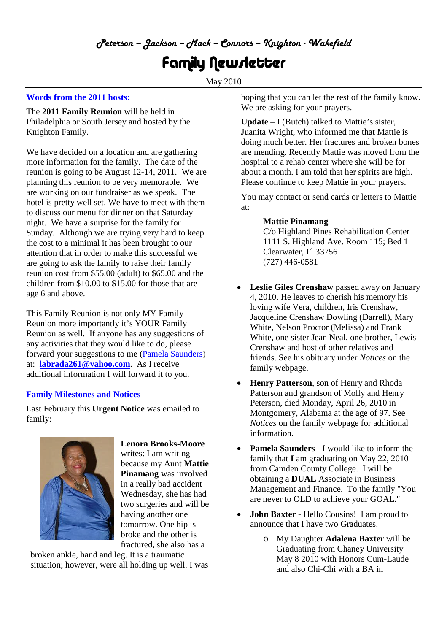## *Peterson – Jackson – Mack – Connors – Knighton - Wakefield*

# Family Newsletter

May 2010

### **Words from the 2011 hosts:**

The **2011 Family Reunion** will be held in Philadelphia or South Jersey and hosted by the Knighton Family.

We have decided on a location and are gathering more information for the family. The date of the reunion is going to be August 12-14, 2011. We are planning this reunion to be very memorable. We are working on our fundraiser as we speak. The hotel is pretty well set. We have to meet with them to discuss our menu for dinner on that Saturday night. We have a surprise for the family for Sunday. Although we are trying very hard to keep the cost to a minimal it has been brought to our attention that in order to make this successful we are going to ask the family to raise their family reunion cost from \$55.00 (adult) to \$65.00 and the children from \$10.00 to \$15.00 for those that are age 6 and above.

This Family Reunion is not only MY Family Reunion more importantly it's YOUR Family Reunion as well. If anyone has any suggestions of any activities that they would like to do, please forward your suggestions to me (Pamela Saunders) at: **labrada261@yahoo.com**. As I receive additional information I will forward it to you.

#### **Family Milestones and Notices**

Last February this **Urgent Notice** was emailed to family:



**Lenora Brooks-Moore** writes: I am writing because my Aunt **Mattie Pinamang** was involved in a really bad accident Wednesday, she has had two surgeries and will be having another one tomorrow. One hip is broke and the other is fractured, she also has a

broken ankle, hand and leg. It is a traumatic situation; however, were all holding up well. I was hoping that you can let the rest of the family know. We are asking for your prayers.

**Update** – I (Butch) talked to Mattie's sister, Juanita Wright, who informed me that Mattie is doing much better. Her fractures and broken bones are mending. Recently Mattie was moved from the hospital to a rehab center where she will be for about a month. I am told that her spirits are high. Please continue to keep Mattie in your prayers.

You may contact or send cards or letters to Mattie at:

#### **Mattie Pinamang**

C/o Highland Pines Rehabilitation Center 1111 S. Highland Ave. Room 115; Bed 1 Clearwater, Fl 33756 (727) 446-0581

- **Leslie Giles Crenshaw** passed away on January 4, 2010. He leaves to cherish his memory his loving wife Vera, children, Iris Crenshaw, Jacqueline Crenshaw Dowling (Darrell), Mary White, Nelson Proctor (Melissa) and Frank White, one sister Jean Neal, one brother, Lewis Crenshaw and host of other relatives and friends. See his obituary under *Notices* on the family webpage.
- **Henry Patterson**, son of Henry and Rhoda Patterson and grandson of Molly and Henry Peterson, died Monday, April 26, 2010 in Montgomery, Alabama at the age of 97. See *Notices* on the family webpage for additional information.
- **Pamela Saunders** I would like to inform the family that **I** am graduating on May 22, 2010 from Camden County College. I will be obtaining a **DUAL** Associate in Business Management and Finance. To the family "You are never to OLD to achieve your GOAL."
- **John Baxter** Hello Cousins! I am proud to announce that I have two Graduates.
	- o My Daughter **Adalena Baxter** will be Graduating from Chaney University May 8 2010 with Honors Cum-Laude and also Chi-Chi with a BA in